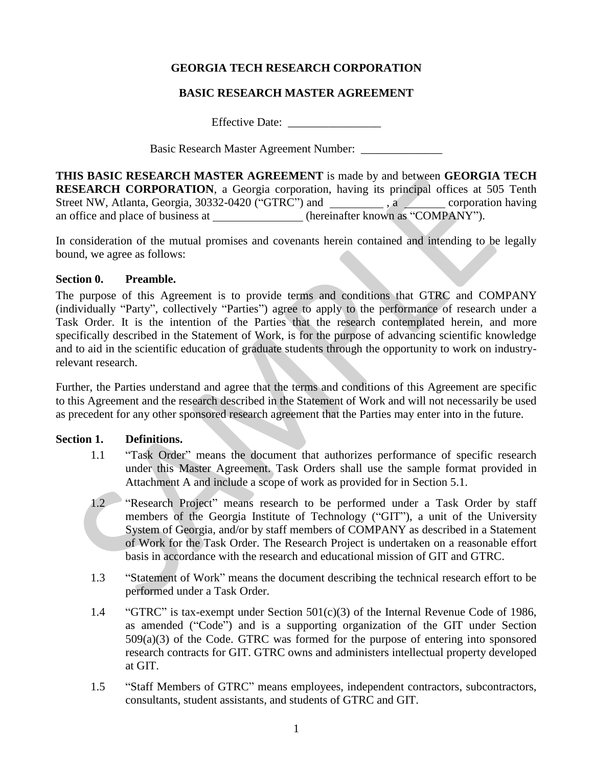# **GEORGIA TECH RESEARCH CORPORATION**

# **BASIC RESEARCH MASTER AGREEMENT**

Effective Date: \_\_\_\_\_\_\_\_\_\_\_\_\_\_\_\_

Basic Research Master Agreement Number: \_\_\_\_\_\_\_\_\_\_\_\_\_\_

**THIS BASIC RESEARCH MASTER AGREEMENT** is made by and between **GEORGIA TECH RESEARCH CORPORATION**, a Georgia corporation, having its principal offices at 505 Tenth Street NW, Atlanta, Georgia, 30332-0420 ("GTRC") and \_\_\_\_\_\_\_\_\_\_, a \_\_\_\_\_\_\_\_ corporation having an office and place of business at \_\_\_\_\_\_\_\_\_\_\_\_\_(hereinafter known as "COMPANY").

In consideration of the mutual promises and covenants herein contained and intending to be legally bound, we agree as follows:

### **Section 0. Preamble.**

The purpose of this Agreement is to provide terms and conditions that GTRC and COMPANY (individually "Party", collectively "Parties") agree to apply to the performance of research under a Task Order. It is the intention of the Parties that the research contemplated herein, and more specifically described in the Statement of Work, is for the purpose of advancing scientific knowledge and to aid in the scientific education of graduate students through the opportunity to work on industryrelevant research.

Further, the Parties understand and agree that the terms and conditions of this Agreement are specific to this Agreement and the research described in the Statement of Work and will not necessarily be used as precedent for any other sponsored research agreement that the Parties may enter into in the future.

#### **Section 1. Definitions.**

- 1.1 "Task Order" means the document that authorizes performance of specific research under this Master Agreement. Task Orders shall use the sample format provided in Attachment A and include a scope of work as provided for in Section 5.1.
- 1.2 "Research Project" means research to be performed under a Task Order by staff members of the Georgia Institute of Technology ("GIT"), a unit of the University System of Georgia, and/or by staff members of COMPANY as described in a Statement of Work for the Task Order. The Research Project is undertaken on a reasonable effort basis in accordance with the research and educational mission of GIT and GTRC.
- 1.3 "Statement of Work" means the document describing the technical research effort to be performed under a Task Order.
- 1.4 "GTRC" is tax-exempt under Section 501(c)(3) of the Internal Revenue Code of 1986, as amended ("Code") and is a supporting organization of the GIT under Section  $509(a)(3)$  of the Code. GTRC was formed for the purpose of entering into sponsored research contracts for GIT. GTRC owns and administers intellectual property developed at GIT.
- 1.5 "Staff Members of GTRC" means employees, independent contractors, subcontractors, consultants, student assistants, and students of GTRC and GIT.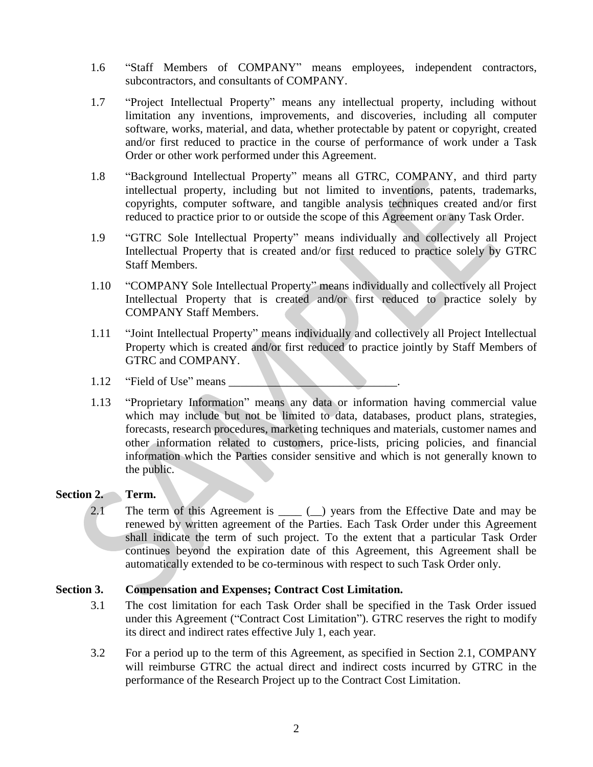- 1.6 "Staff Members of COMPANY" means employees, independent contractors, subcontractors, and consultants of COMPANY.
- 1.7 "Project Intellectual Property" means any intellectual property, including without limitation any inventions, improvements, and discoveries, including all computer software, works, material, and data, whether protectable by patent or copyright, created and/or first reduced to practice in the course of performance of work under a Task Order or other work performed under this Agreement.
- 1.8 "Background Intellectual Property" means all GTRC, COMPANY, and third party intellectual property, including but not limited to inventions, patents, trademarks, copyrights, computer software, and tangible analysis techniques created and/or first reduced to practice prior to or outside the scope of this Agreement or any Task Order.
- 1.9 "GTRC Sole Intellectual Property" means individually and collectively all Project Intellectual Property that is created and/or first reduced to practice solely by GTRC Staff Members.
- 1.10 "COMPANY Sole Intellectual Property" means individually and collectively all Project Intellectual Property that is created and/or first reduced to practice solely by COMPANY Staff Members.
- 1.11 "Joint Intellectual Property" means individually and collectively all Project Intellectual Property which is created and/or first reduced to practice jointly by Staff Members of GTRC and COMPANY.
- 1.12 "Field of Use" means
- 1.13 "Proprietary Information" means any data or information having commercial value which may include but not be limited to data, databases, product plans, strategies, forecasts, research procedures, marketing techniques and materials, customer names and other information related to customers, price-lists, pricing policies, and financial information which the Parties consider sensitive and which is not generally known to the public.

# **Section 2. Term.**

2.1 The term of this Agreement is \_\_\_\_ (\_) years from the Effective Date and may be renewed by written agreement of the Parties. Each Task Order under this Agreement shall indicate the term of such project. To the extent that a particular Task Order continues beyond the expiration date of this Agreement, this Agreement shall be automatically extended to be co-terminous with respect to such Task Order only.

#### **Section 3. Compensation and Expenses; Contract Cost Limitation.**

- 3.1 The cost limitation for each Task Order shall be specified in the Task Order issued under this Agreement ("Contract Cost Limitation"). GTRC reserves the right to modify its direct and indirect rates effective July 1, each year.
- 3.2 For a period up to the term of this Agreement, as specified in Section 2.1, COMPANY will reimburse GTRC the actual direct and indirect costs incurred by GTRC in the performance of the Research Project up to the Contract Cost Limitation.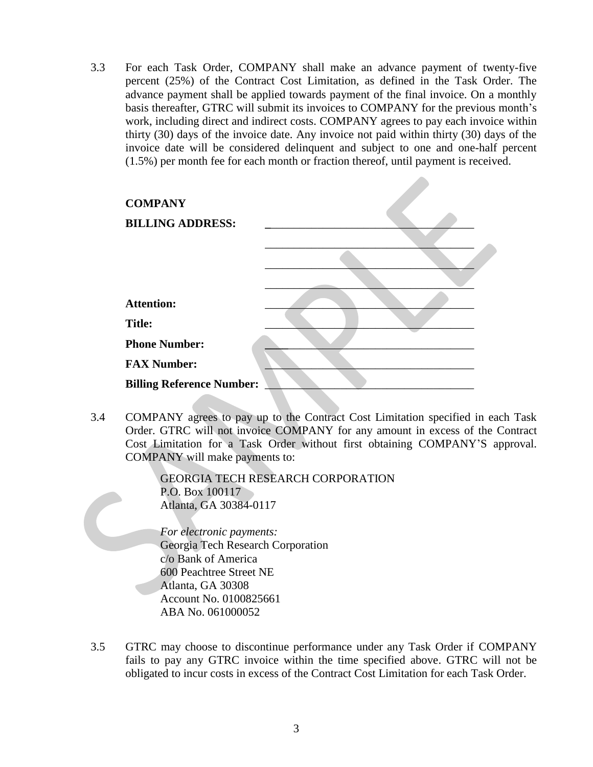3.3 For each Task Order, COMPANY shall make an advance payment of twenty-five percent (25%) of the Contract Cost Limitation, as defined in the Task Order. The advance payment shall be applied towards payment of the final invoice. On a monthly basis thereafter, GTRC will submit its invoices to COMPANY for the previous month's work, including direct and indirect costs. COMPANY agrees to pay each invoice within thirty (30) days of the invoice date. Any invoice not paid within thirty (30) days of the invoice date will be considered delinquent and subject to one and one-half percent (1.5%) per month fee for each month or fraction thereof, until payment is received.

| <b>COMPANY</b>                   |  |
|----------------------------------|--|
| <b>BILLING ADDRESS:</b>          |  |
|                                  |  |
|                                  |  |
|                                  |  |
| <b>Attention:</b>                |  |
| <b>Title:</b>                    |  |
| <b>Phone Number:</b>             |  |
| <b>FAX Number:</b>               |  |
| <b>Billing Reference Number:</b> |  |
|                                  |  |

3.4 COMPANY agrees to pay up to the Contract Cost Limitation specified in each Task Order. GTRC will not invoice COMPANY for any amount in excess of the Contract Cost Limitation for a Task Order without first obtaining COMPANY'S approval. COMPANY will make payments to:

> GEORGIA TECH RESEARCH CORPORATION P.O. Box 100117 Atlanta, GA 30384-0117

*For electronic payments:*  Georgia Tech Research Corporation c/o Bank of America 600 Peachtree Street NE Atlanta, GA 30308 Account No. 0100825661 ABA No. 061000052

3.5 GTRC may choose to discontinue performance under any Task Order if COMPANY fails to pay any GTRC invoice within the time specified above. GTRC will not be obligated to incur costs in excess of the Contract Cost Limitation for each Task Order.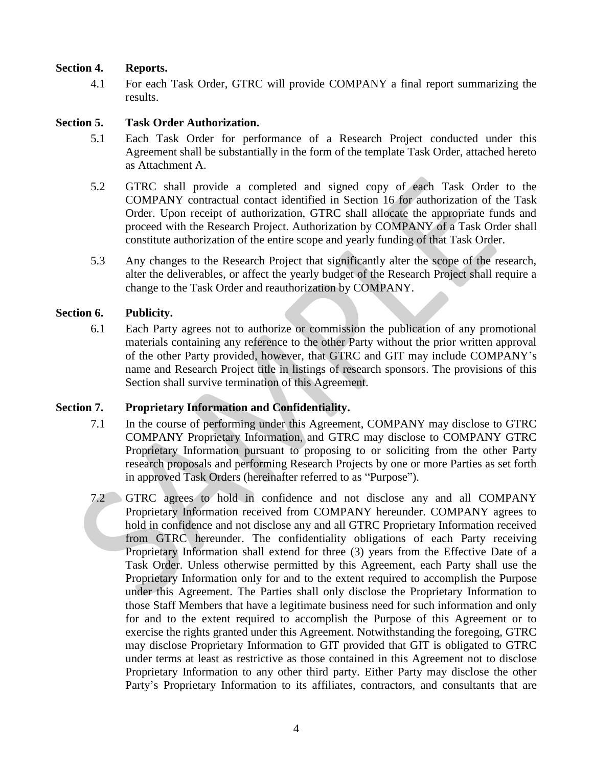### **Section 4. Reports.**

4.1 For each Task Order, GTRC will provide COMPANY a final report summarizing the results.

#### **Section 5. Task Order Authorization.**

- 5.1 Each Task Order for performance of a Research Project conducted under this Agreement shall be substantially in the form of the template Task Order, attached hereto as Attachment A.
- 5.2 GTRC shall provide a completed and signed copy of each Task Order to the COMPANY contractual contact identified in Section 16 for authorization of the Task Order. Upon receipt of authorization, GTRC shall allocate the appropriate funds and proceed with the Research Project. Authorization by COMPANY of a Task Order shall constitute authorization of the entire scope and yearly funding of that Task Order.
- 5.3 Any changes to the Research Project that significantly alter the scope of the research, alter the deliverables, or affect the yearly budget of the Research Project shall require a change to the Task Order and reauthorization by COMPANY.

#### **Section 6. Publicity.**

6.1 Each Party agrees not to authorize or commission the publication of any promotional materials containing any reference to the other Party without the prior written approval of the other Party provided, however, that GTRC and GIT may include COMPANY's name and Research Project title in listings of research sponsors. The provisions of this Section shall survive termination of this Agreement.

#### **Section 7. Proprietary Information and Confidentiality.**

- 7.1 In the course of performing under this Agreement, COMPANY may disclose to GTRC COMPANY Proprietary Information, and GTRC may disclose to COMPANY GTRC Proprietary Information pursuant to proposing to or soliciting from the other Party research proposals and performing Research Projects by one or more Parties as set forth in approved Task Orders (hereinafter referred to as "Purpose").
- 7.2 GTRC agrees to hold in confidence and not disclose any and all COMPANY Proprietary Information received from COMPANY hereunder. COMPANY agrees to hold in confidence and not disclose any and all GTRC Proprietary Information received from GTRC hereunder. The confidentiality obligations of each Party receiving Proprietary Information shall extend for three (3) years from the Effective Date of a Task Order. Unless otherwise permitted by this Agreement, each Party shall use the Proprietary Information only for and to the extent required to accomplish the Purpose under this Agreement. The Parties shall only disclose the Proprietary Information to those Staff Members that have a legitimate business need for such information and only for and to the extent required to accomplish the Purpose of this Agreement or to exercise the rights granted under this Agreement. Notwithstanding the foregoing, GTRC may disclose Proprietary Information to GIT provided that GIT is obligated to GTRC under terms at least as restrictive as those contained in this Agreement not to disclose Proprietary Information to any other third party. Either Party may disclose the other Party's Proprietary Information to its affiliates, contractors, and consultants that are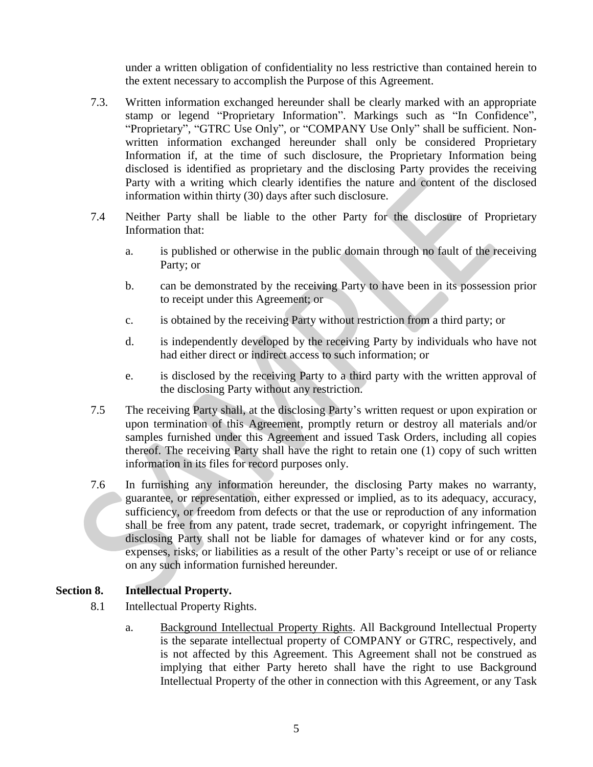under a written obligation of confidentiality no less restrictive than contained herein to the extent necessary to accomplish the Purpose of this Agreement.

- 7.3. Written information exchanged hereunder shall be clearly marked with an appropriate stamp or legend "Proprietary Information". Markings such as "In Confidence", "Proprietary", "GTRC Use Only", or "COMPANY Use Only" shall be sufficient. Nonwritten information exchanged hereunder shall only be considered Proprietary Information if, at the time of such disclosure, the Proprietary Information being disclosed is identified as proprietary and the disclosing Party provides the receiving Party with a writing which clearly identifies the nature and content of the disclosed information within thirty (30) days after such disclosure.
- 7.4 Neither Party shall be liable to the other Party for the disclosure of Proprietary Information that:
	- a. is published or otherwise in the public domain through no fault of the receiving Party; or
	- b. can be demonstrated by the receiving Party to have been in its possession prior to receipt under this Agreement; or
	- c. is obtained by the receiving Party without restriction from a third party; or
	- d. is independently developed by the receiving Party by individuals who have not had either direct or indirect access to such information; or
	- e. is disclosed by the receiving Party to a third party with the written approval of the disclosing Party without any restriction.
- 7.5 The receiving Party shall, at the disclosing Party's written request or upon expiration or upon termination of this Agreement, promptly return or destroy all materials and/or samples furnished under this Agreement and issued Task Orders, including all copies thereof. The receiving Party shall have the right to retain one (1) copy of such written information in its files for record purposes only.
- 7.6 In furnishing any information hereunder, the disclosing Party makes no warranty, guarantee, or representation, either expressed or implied, as to its adequacy, accuracy, sufficiency, or freedom from defects or that the use or reproduction of any information shall be free from any patent, trade secret, trademark, or copyright infringement. The disclosing Party shall not be liable for damages of whatever kind or for any costs, expenses, risks, or liabilities as a result of the other Party's receipt or use of or reliance on any such information furnished hereunder.

# **Section 8. Intellectual Property.**

- 8.1 Intellectual Property Rights.
	- a. Background Intellectual Property Rights. All Background Intellectual Property is the separate intellectual property of COMPANY or GTRC, respectively, and is not affected by this Agreement. This Agreement shall not be construed as implying that either Party hereto shall have the right to use Background Intellectual Property of the other in connection with this Agreement, or any Task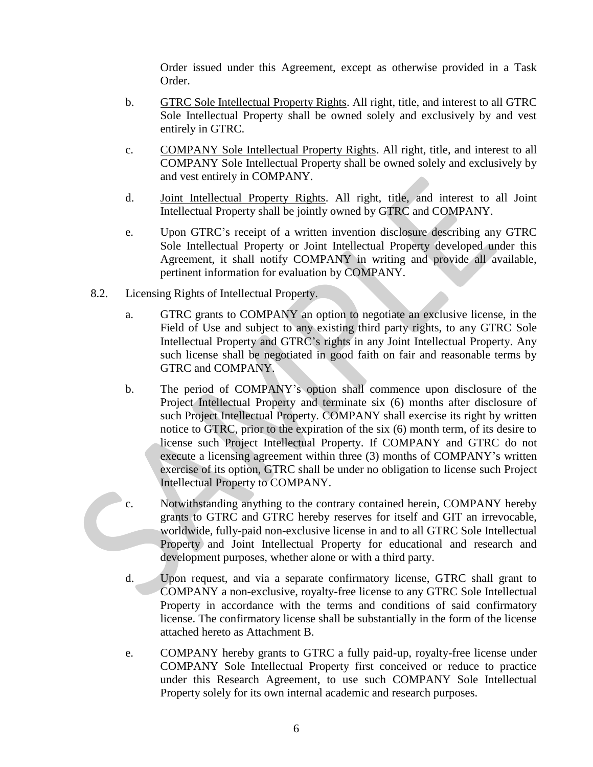Order issued under this Agreement, except as otherwise provided in a Task Order.

- b. GTRC Sole Intellectual Property Rights. All right, title, and interest to all GTRC Sole Intellectual Property shall be owned solely and exclusively by and vest entirely in GTRC.
- c. COMPANY Sole Intellectual Property Rights. All right, title, and interest to all COMPANY Sole Intellectual Property shall be owned solely and exclusively by and vest entirely in COMPANY.
- d. Joint Intellectual Property Rights. All right, title, and interest to all Joint Intellectual Property shall be jointly owned by GTRC and COMPANY.
- e. Upon GTRC's receipt of a written invention disclosure describing any GTRC Sole Intellectual Property or Joint Intellectual Property developed under this Agreement, it shall notify COMPANY in writing and provide all available, pertinent information for evaluation by COMPANY.
- 8.2. Licensing Rights of Intellectual Property.
	- a. GTRC grants to COMPANY an option to negotiate an exclusive license, in the Field of Use and subject to any existing third party rights, to any GTRC Sole Intellectual Property and GTRC's rights in any Joint Intellectual Property. Any such license shall be negotiated in good faith on fair and reasonable terms by GTRC and COMPANY.
	- b. The period of COMPANY's option shall commence upon disclosure of the Project Intellectual Property and terminate six (6) months after disclosure of such Project Intellectual Property. COMPANY shall exercise its right by written notice to GTRC, prior to the expiration of the six (6) month term, of its desire to license such Project Intellectual Property. If COMPANY and GTRC do not execute a licensing agreement within three (3) months of COMPANY's written exercise of its option, GTRC shall be under no obligation to license such Project Intellectual Property to COMPANY.
	- c. Notwithstanding anything to the contrary contained herein, COMPANY hereby grants to GTRC and GTRC hereby reserves for itself and GIT an irrevocable, worldwide, fully-paid non-exclusive license in and to all GTRC Sole Intellectual Property and Joint Intellectual Property for educational and research and development purposes, whether alone or with a third party.
	- d. Upon request, and via a separate confirmatory license, GTRC shall grant to COMPANY a non-exclusive, royalty-free license to any GTRC Sole Intellectual Property in accordance with the terms and conditions of said confirmatory license. The confirmatory license shall be substantially in the form of the license attached hereto as Attachment B.
	- e. COMPANY hereby grants to GTRC a fully paid-up, royalty-free license under COMPANY Sole Intellectual Property first conceived or reduce to practice under this Research Agreement, to use such COMPANY Sole Intellectual Property solely for its own internal academic and research purposes.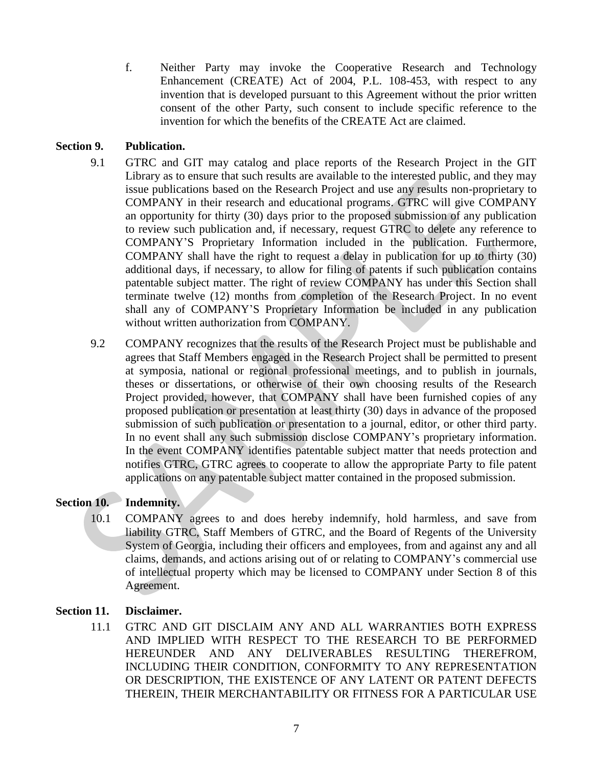f. Neither Party may invoke the Cooperative Research and Technology Enhancement (CREATE) Act of 2004, P.L. 108-453, with respect to any invention that is developed pursuant to this Agreement without the prior written consent of the other Party, such consent to include specific reference to the invention for which the benefits of the CREATE Act are claimed.

# **Section 9. Publication.**

- 9.1 GTRC and GIT may catalog and place reports of the Research Project in the GIT Library as to ensure that such results are available to the interested public, and they may issue publications based on the Research Project and use any results non-proprietary to COMPANY in their research and educational programs. GTRC will give COMPANY an opportunity for thirty (30) days prior to the proposed submission of any publication to review such publication and, if necessary, request GTRC to delete any reference to COMPANY'S Proprietary Information included in the publication. Furthermore, COMPANY shall have the right to request a delay in publication for up to thirty (30) additional days, if necessary, to allow for filing of patents if such publication contains patentable subject matter. The right of review COMPANY has under this Section shall terminate twelve (12) months from completion of the Research Project. In no event shall any of COMPANY'S Proprietary Information be included in any publication without written authorization from COMPANY.
- 9.2 COMPANY recognizes that the results of the Research Project must be publishable and agrees that Staff Members engaged in the Research Project shall be permitted to present at symposia, national or regional professional meetings, and to publish in journals, theses or dissertations, or otherwise of their own choosing results of the Research Project provided, however, that COMPANY shall have been furnished copies of any proposed publication or presentation at least thirty (30) days in advance of the proposed submission of such publication or presentation to a journal, editor, or other third party. In no event shall any such submission disclose COMPANY's proprietary information. In the event COMPANY identifies patentable subject matter that needs protection and notifies GTRC, GTRC agrees to cooperate to allow the appropriate Party to file patent applications on any patentable subject matter contained in the proposed submission.

# **Section 10. Indemnity.**

10.1 COMPANY agrees to and does hereby indemnify, hold harmless, and save from liability GTRC, Staff Members of GTRC, and the Board of Regents of the University System of Georgia, including their officers and employees, from and against any and all claims, demands, and actions arising out of or relating to COMPANY's commercial use of intellectual property which may be licensed to COMPANY under Section 8 of this Agreement.

# **Section 11. Disclaimer.**

11.1 GTRC AND GIT DISCLAIM ANY AND ALL WARRANTIES BOTH EXPRESS AND IMPLIED WITH RESPECT TO THE RESEARCH TO BE PERFORMED HEREUNDER AND ANY DELIVERABLES RESULTING THEREFROM, INCLUDING THEIR CONDITION, CONFORMITY TO ANY REPRESENTATION OR DESCRIPTION, THE EXISTENCE OF ANY LATENT OR PATENT DEFECTS THEREIN, THEIR MERCHANTABILITY OR FITNESS FOR A PARTICULAR USE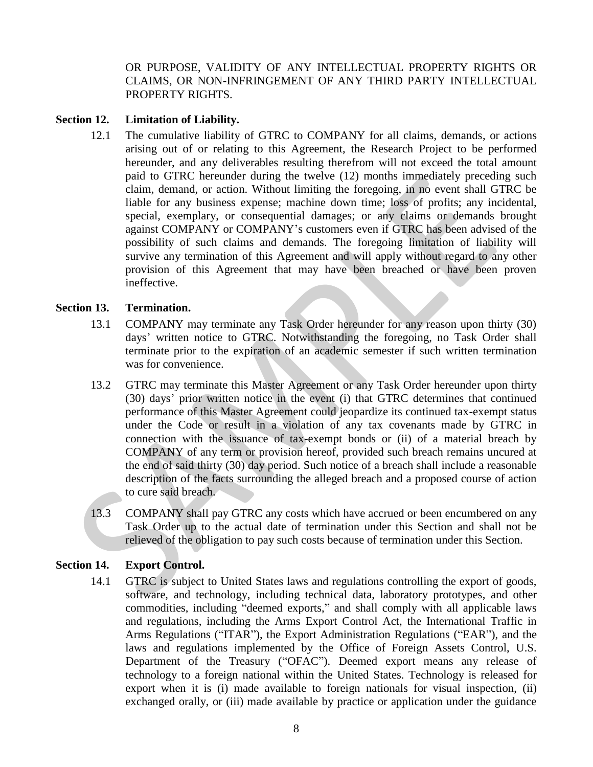OR PURPOSE, VALIDITY OF ANY INTELLECTUAL PROPERTY RIGHTS OR CLAIMS, OR NON-INFRINGEMENT OF ANY THIRD PARTY INTELLECTUAL PROPERTY RIGHTS.

### **Section 12. Limitation of Liability.**

12.1 The cumulative liability of GTRC to COMPANY for all claims, demands, or actions arising out of or relating to this Agreement, the Research Project to be performed hereunder, and any deliverables resulting therefrom will not exceed the total amount paid to GTRC hereunder during the twelve (12) months immediately preceding such claim, demand, or action. Without limiting the foregoing, in no event shall GTRC be liable for any business expense; machine down time; loss of profits; any incidental, special, exemplary, or consequential damages; or any claims or demands brought against COMPANY or COMPANY's customers even if GTRC has been advised of the possibility of such claims and demands. The foregoing limitation of liability will survive any termination of this Agreement and will apply without regard to any other provision of this Agreement that may have been breached or have been proven ineffective.

#### **Section 13. Termination.**

- 13.1 COMPANY may terminate any Task Order hereunder for any reason upon thirty (30) days' written notice to GTRC. Notwithstanding the foregoing, no Task Order shall terminate prior to the expiration of an academic semester if such written termination was for convenience.
- 13.2 GTRC may terminate this Master Agreement or any Task Order hereunder upon thirty (30) days' prior written notice in the event (i) that GTRC determines that continued performance of this Master Agreement could jeopardize its continued tax-exempt status under the Code or result in a violation of any tax covenants made by GTRC in connection with the issuance of tax-exempt bonds or (ii) of a material breach by COMPANY of any term or provision hereof, provided such breach remains uncured at the end of said thirty (30) day period. Such notice of a breach shall include a reasonable description of the facts surrounding the alleged breach and a proposed course of action to cure said breach.
- 13.3 COMPANY shall pay GTRC any costs which have accrued or been encumbered on any Task Order up to the actual date of termination under this Section and shall not be relieved of the obligation to pay such costs because of termination under this Section.

#### **Section 14. Export Control.**

14.1 GTRC is subject to United States laws and regulations controlling the export of goods, software, and technology, including technical data, laboratory prototypes, and other commodities, including "deemed exports," and shall comply with all applicable laws and regulations, including the Arms Export Control Act, the International Traffic in Arms Regulations ("ITAR"), the Export Administration Regulations ("EAR"), and the laws and regulations implemented by the Office of Foreign Assets Control, U.S. Department of the Treasury ("OFAC"). Deemed export means any release of technology to a foreign national within the United States. Technology is released for export when it is (i) made available to foreign nationals for visual inspection, (ii) exchanged orally, or (iii) made available by practice or application under the guidance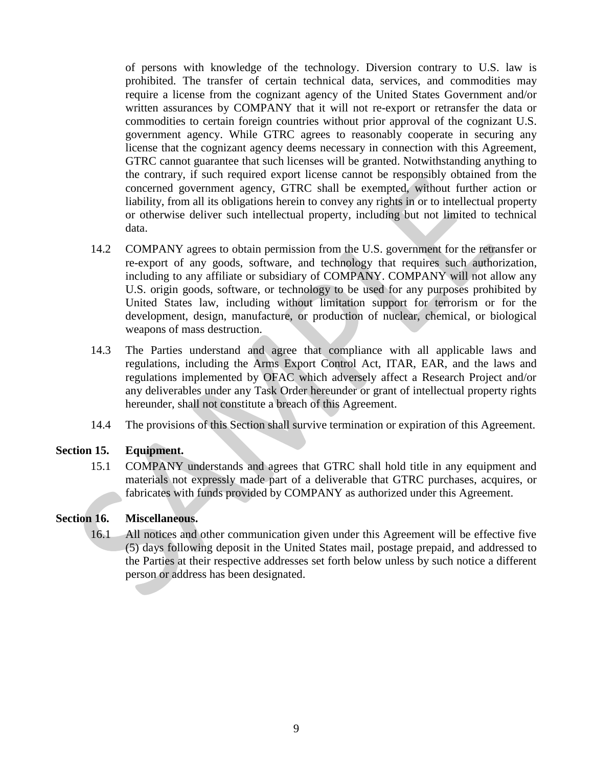of persons with knowledge of the technology. Diversion contrary to U.S. law is prohibited. The transfer of certain technical data, services, and commodities may require a license from the cognizant agency of the United States Government and/or written assurances by COMPANY that it will not re-export or retransfer the data or commodities to certain foreign countries without prior approval of the cognizant U.S. government agency. While GTRC agrees to reasonably cooperate in securing any license that the cognizant agency deems necessary in connection with this Agreement, GTRC cannot guarantee that such licenses will be granted. Notwithstanding anything to the contrary, if such required export license cannot be responsibly obtained from the concerned government agency, GTRC shall be exempted, without further action or liability, from all its obligations herein to convey any rights in or to intellectual property or otherwise deliver such intellectual property, including but not limited to technical data.

- 14.2 COMPANY agrees to obtain permission from the U.S. government for the retransfer or re-export of any goods, software, and technology that requires such authorization, including to any affiliate or subsidiary of COMPANY. COMPANY will not allow any U.S. origin goods, software, or technology to be used for any purposes prohibited by United States law, including without limitation support for terrorism or for the development, design, manufacture, or production of nuclear, chemical, or biological weapons of mass destruction.
- 14.3 The Parties understand and agree that compliance with all applicable laws and regulations, including the Arms Export Control Act, ITAR, EAR, and the laws and regulations implemented by OFAC which adversely affect a Research Project and/or any deliverables under any Task Order hereunder or grant of intellectual property rights hereunder, shall not constitute a breach of this Agreement.
- 14.4 The provisions of this Section shall survive termination or expiration of this Agreement.

#### **Section 15. Equipment.**

15.1 COMPANY understands and agrees that GTRC shall hold title in any equipment and materials not expressly made part of a deliverable that GTRC purchases, acquires, or fabricates with funds provided by COMPANY as authorized under this Agreement.

# **Section 16. Miscellaneous.**

16.1 All notices and other communication given under this Agreement will be effective five (5) days following deposit in the United States mail, postage prepaid, and addressed to the Parties at their respective addresses set forth below unless by such notice a different person or address has been designated.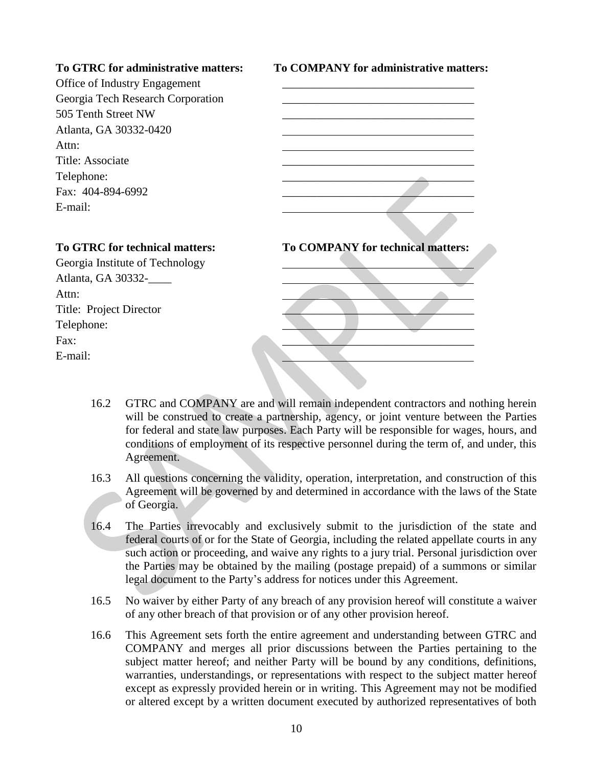**To GTRC for administrative matters: To COMPANY for administrative matters:**

| Office of Industry Engagement     |                                          |
|-----------------------------------|------------------------------------------|
| Georgia Tech Research Corporation |                                          |
| 505 Tenth Street NW               |                                          |
| Atlanta, GA 30332-0420            |                                          |
| Attn:                             |                                          |
| Title: Associate                  |                                          |
| Telephone:                        |                                          |
| Fax: 404-894-6992                 |                                          |
| E-mail:                           |                                          |
|                                   |                                          |
| To GTRC for technical matters:    | <b>To COMPANY for technical matters:</b> |
| Georgia Institute of Technology   |                                          |
| Atlanta, GA 30332-                |                                          |
| Attn:                             |                                          |
| Title: Project Director           |                                          |
| Telephone:                        |                                          |
| Fax:                              |                                          |
| E-mail:                           |                                          |

- 16.2 GTRC and COMPANY are and will remain independent contractors and nothing herein will be construed to create a partnership, agency, or joint venture between the Parties for federal and state law purposes. Each Party will be responsible for wages, hours, and conditions of employment of its respective personnel during the term of, and under, this Agreement.
- 16.3 All questions concerning the validity, operation, interpretation, and construction of this Agreement will be governed by and determined in accordance with the laws of the State of Georgia.
- 16.4 The Parties irrevocably and exclusively submit to the jurisdiction of the state and federal courts of or for the State of Georgia, including the related appellate courts in any such action or proceeding, and waive any rights to a jury trial. Personal jurisdiction over the Parties may be obtained by the mailing (postage prepaid) of a summons or similar legal document to the Party's address for notices under this Agreement.
- 16.5 No waiver by either Party of any breach of any provision hereof will constitute a waiver of any other breach of that provision or of any other provision hereof.
- 16.6 This Agreement sets forth the entire agreement and understanding between GTRC and COMPANY and merges all prior discussions between the Parties pertaining to the subject matter hereof; and neither Party will be bound by any conditions, definitions, warranties, understandings, or representations with respect to the subject matter hereof except as expressly provided herein or in writing. This Agreement may not be modified or altered except by a written document executed by authorized representatives of both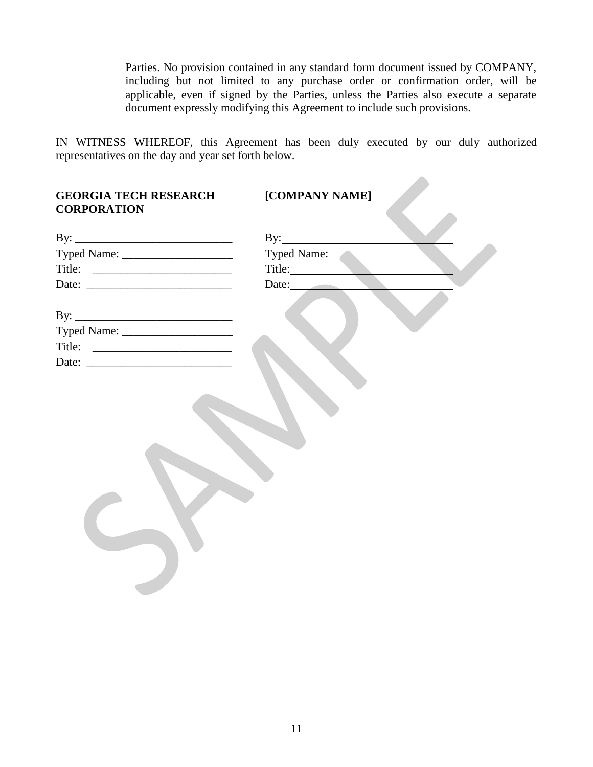Parties. No provision contained in any standard form document issued by COMPANY, including but not limited to any purchase order or confirmation order, will be applicable, even if signed by the Parties, unless the Parties also execute a separate document expressly modifying this Agreement to include such provisions.

 $\mathcal{L}_{\mathcal{M}}$ 

IN WITNESS WHEREOF, this Agreement has been duly executed by our duly authorized representatives on the day and year set forth below.

| <b>GEORGIA TECH RESEARCH</b><br><b>CORPORATION</b> | [COMPANY NAME] |
|----------------------------------------------------|----------------|
|                                                    |                |
|                                                    | Typed Name:    |
|                                                    | Title:         |
|                                                    | Date:          |
|                                                    |                |
|                                                    |                |
|                                                    |                |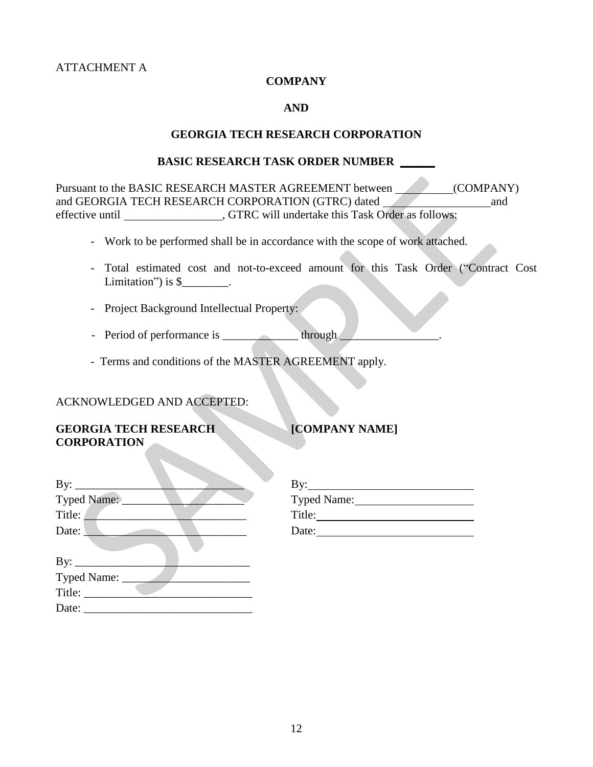ATTACHMENT A

#### **COMPANY**

#### **AND**

#### **GEORGIA TECH RESEARCH CORPORATION**

#### **BASIC RESEARCH TASK ORDER NUMBER \_\_\_\_\_\_**

Pursuant to the BASIC RESEARCH MASTER AGREEMENT between (COMPANY) and GEORGIA TECH RESEARCH CORPORATION (GTRC) dated and and effective until , GTRC will undertake this Task Order as follows:

- Work to be performed shall be in accordance with the scope of work attached.
- Total estimated cost and not-to-exceed amount for this Task Order ("Contract Cost Limitation") is  $\frac{1}{2}$ .
- Project Background Intellectual Property:
- Period of performance is through
- Terms and conditions of the MASTER AGREEMENT apply.

#### ACKNOWLEDGED AND ACCEPTED:

#### **GEORGIA TECH RESEARCH [COMPANY NAME] CORPORATION**

| By: $\qquad \qquad$ | By:         |
|---------------------|-------------|
| Typed Name:         | Typed Name: |
| Title:              | Title:      |
| Date:               | Date:       |
|                     |             |
| By: $\qquad \qquad$ |             |
| Typed Name:         |             |
| Title:              |             |
| Date:               |             |

| By:         |
|-------------|
| Typed Name: |
| Title:      |
| Date:       |
|             |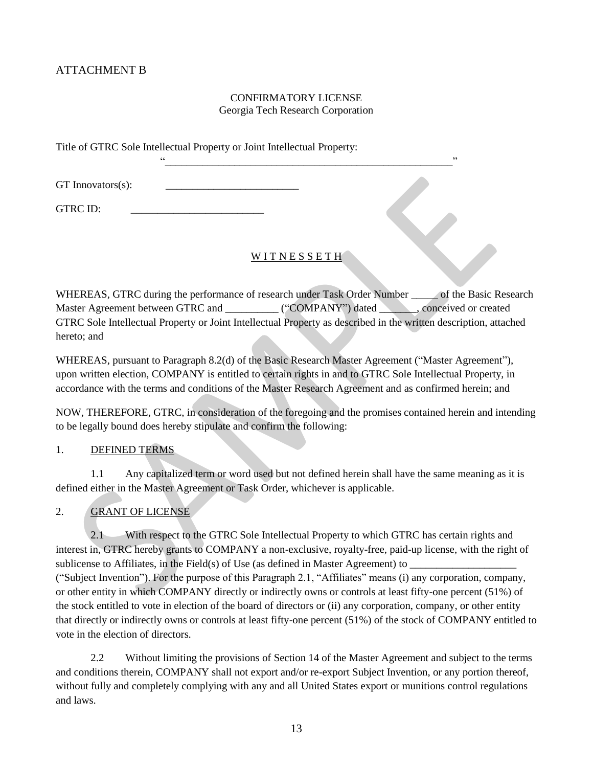# ATTACHMENT B

#### CONFIRMATORY LICENSE Georgia Tech Research Corporation

"\_\_\_\_\_\_\_\_\_\_\_\_\_\_\_\_\_\_\_\_\_\_\_\_\_\_\_\_\_\_\_\_\_\_\_\_\_\_\_\_\_\_\_\_\_\_\_\_\_\_\_\_\_\_"

Title of GTRC Sole Intellectual Property or Joint Intellectual Property:

 $GT$  Innovators $(s)$ :

GTRC ID:

#### WITNESSETH<sup>®</sup>

WHEREAS, GTRC during the performance of research under Task Order Number of the Basic Research Master Agreement between GTRC and \_\_\_\_\_\_\_\_\_ ("COMPANY") dated \_\_\_\_\_\_, conceived or created GTRC Sole Intellectual Property or Joint Intellectual Property as described in the written description, attached hereto; and

WHEREAS, pursuant to Paragraph 8.2(d) of the Basic Research Master Agreement ("Master Agreement"), upon written election, COMPANY is entitled to certain rights in and to GTRC Sole Intellectual Property, in accordance with the terms and conditions of the Master Research Agreement and as confirmed herein; and

NOW, THEREFORE, GTRC, in consideration of the foregoing and the promises contained herein and intending to be legally bound does hereby stipulate and confirm the following:

#### 1. DEFINED TERMS

1.1 Any capitalized term or word used but not defined herein shall have the same meaning as it is defined either in the Master Agreement or Task Order, whichever is applicable.

#### 2. GRANT OF LICENSE

2.1 With respect to the GTRC Sole Intellectual Property to which GTRC has certain rights and interest in, GTRC hereby grants to COMPANY a non-exclusive, royalty-free, paid-up license, with the right of sublicense to Affiliates, in the Field(s) of Use (as defined in Master Agreement) to  $\Box$ ("Subject Invention"). For the purpose of this Paragraph 2.1, "Affiliates" means (i) any corporation, company, or other entity in which COMPANY directly or indirectly owns or controls at least fifty-one percent (51%) of the stock entitled to vote in election of the board of directors or (ii) any corporation, company, or other entity that directly or indirectly owns or controls at least fifty-one percent (51%) of the stock of COMPANY entitled to vote in the election of directors.

2.2 Without limiting the provisions of Section 14 of the Master Agreement and subject to the terms and conditions therein, COMPANY shall not export and/or re-export Subject Invention, or any portion thereof, without fully and completely complying with any and all United States export or munitions control regulations and laws.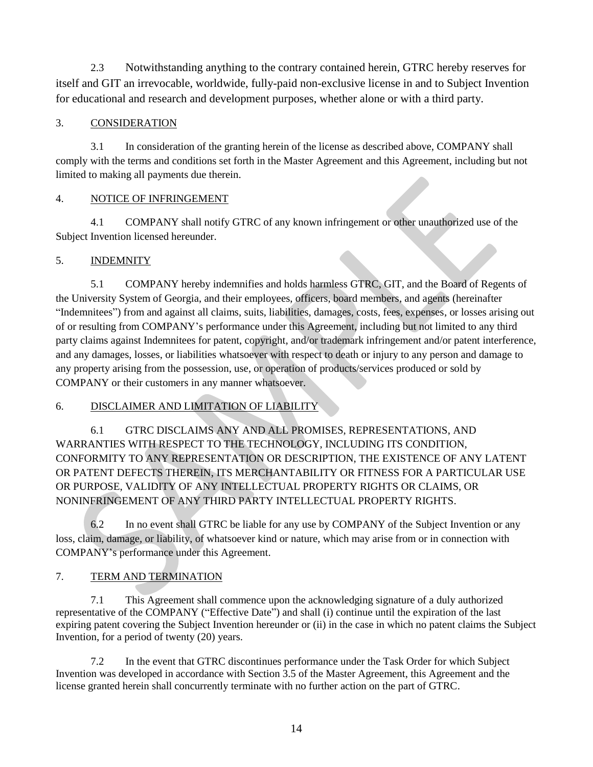2.3 Notwithstanding anything to the contrary contained herein, GTRC hereby reserves for itself and GIT an irrevocable, worldwide, fully-paid non-exclusive license in and to Subject Invention for educational and research and development purposes, whether alone or with a third party.

# 3. CONSIDERATION

3.1 In consideration of the granting herein of the license as described above, COMPANY shall comply with the terms and conditions set forth in the Master Agreement and this Agreement, including but not limited to making all payments due therein.

### 4. NOTICE OF INFRINGEMENT

4.1 COMPANY shall notify GTRC of any known infringement or other unauthorized use of the Subject Invention licensed hereunder.

### 5. INDEMNITY

5.1 COMPANY hereby indemnifies and holds harmless GTRC, GIT, and the Board of Regents of the University System of Georgia, and their employees, officers, board members, and agents (hereinafter "Indemnitees") from and against all claims, suits, liabilities, damages, costs, fees, expenses, or losses arising out of or resulting from COMPANY's performance under this Agreement, including but not limited to any third party claims against Indemnitees for patent, copyright, and/or trademark infringement and/or patent interference, and any damages, losses, or liabilities whatsoever with respect to death or injury to any person and damage to any property arising from the possession, use, or operation of products/services produced or sold by COMPANY or their customers in any manner whatsoever.

# 6. DISCLAIMER AND LIMITATION OF LIABILITY

6.1 GTRC DISCLAIMS ANY AND ALL PROMISES, REPRESENTATIONS, AND WARRANTIES WITH RESPECT TO THE TECHNOLOGY, INCLUDING ITS CONDITION, CONFORMITY TO ANY REPRESENTATION OR DESCRIPTION, THE EXISTENCE OF ANY LATENT OR PATENT DEFECTS THEREIN, ITS MERCHANTABILITY OR FITNESS FOR A PARTICULAR USE OR PURPOSE, VALIDITY OF ANY INTELLECTUAL PROPERTY RIGHTS OR CLAIMS, OR NONINFRINGEMENT OF ANY THIRD PARTY INTELLECTUAL PROPERTY RIGHTS.

6.2 In no event shall GTRC be liable for any use by COMPANY of the Subject Invention or any loss, claim, damage, or liability, of whatsoever kind or nature, which may arise from or in connection with COMPANY's performance under this Agreement.

# 7. TERM AND TERMINATION

7.1 This Agreement shall commence upon the acknowledging signature of a duly authorized representative of the COMPANY ("Effective Date") and shall (i) continue until the expiration of the last expiring patent covering the Subject Invention hereunder or (ii) in the case in which no patent claims the Subject Invention, for a period of twenty (20) years.

7.2 In the event that GTRC discontinues performance under the Task Order for which Subject Invention was developed in accordance with Section 3.5 of the Master Agreement, this Agreement and the license granted herein shall concurrently terminate with no further action on the part of GTRC.